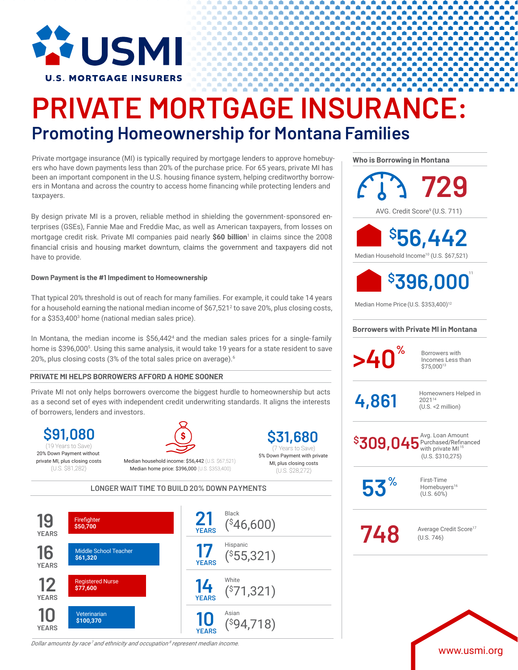

## **PRIVATE MORTGAGE INSURANCE: Promoting Homeownership for Montana Families**

Private mortgage insurance (MI) is typically required by mortgage lenders to approve homebuyers who have down payments less than 20% of the purchase price. For 65 years, private MI has been an important component in the U.S. housing finance system, helping creditworthy borrowers in Montana and across the country to access home financing while protecting lenders and taxpayers.

By design private MI is a proven, reliable method in shielding the government-sponsored enterprises (GSEs), Fannie Mae and Freddie Mac, as well as American taxpayers, from losses on mortgage credit risk. Private MI companies paid nearly **\$60 billion**<sup>1</sup> in claims since the 2008 financial crisis and housing market downturn, claims the government and taxpayers did not have to provide.

### **Down Payment is the #1 Impediment to Homeownership**

That typical 20% threshold is out of reach for many families. For example, it could take 14 years for a household earning the national median income of  $$67,521<sup>2</sup>$  to save 20%, plus closing costs, for a \$353,4003 home (national median sales price).

In Montana, the median income is \$56,442<sup>4</sup> and the median sales prices for a single-family home is \$396,0005 . Using this same analysis, it would take 19 years for a state resident to save 20%, plus closing costs (3% of the total sales price on average).<sup>6</sup>

### **PRIVATE MI HELPS BORROWERS AFFORD A HOME SOONER**

Private MI not only helps borrowers overcome the biggest hurdle to homeownership but acts as a second set of eyes with independent credit underwriting standards. It aligns the interests of borrowers, lenders and investors.

**\$91,080** 20% Down Payment without private MI, plus closing costs (U.S. \$81,282)



Median household income: \$56,442 (U.S. \$67,521) Median home price: \$396,000 (U.S. \$353,400)

**\$31,680** 5% Down Payment with private (19 Years to Save) (7 Years to Save)

MI, plus closing costs (U.S. \$28,272)

**LONGER WAIT TIME TO BUILD 20% DOWN PAYMENTS**



*Dollar amounts by race<sup>7</sup> and ethnicity and occupation <sup>8</sup> represent median income.*

**Who is Borrowing in Montana**

AVG. Credit Score<sup>9</sup> (U.S. 711) **729** Median Household Income10 (U.S. \$67,521) **\$ 56,442**



Median Home Price (U.S. \$353,400)12

### **Borrowers with Private MI in Montana**



Incomes Less than \$75,00013

 $4.861$  Homeowners Helped in 202114 (U.S. <2 million)

Avg. Loan Amount<br>Purchased/Refinanced with private  $MI<sup>1</sup>$ (U.S. \$310,275) **\$ 309,045**

**53%**

First-Time Homebuyers<sup>16</sup> (U.S. 60%)

**748** Average Credit Score<sup>17</sup> (U.S. 746)